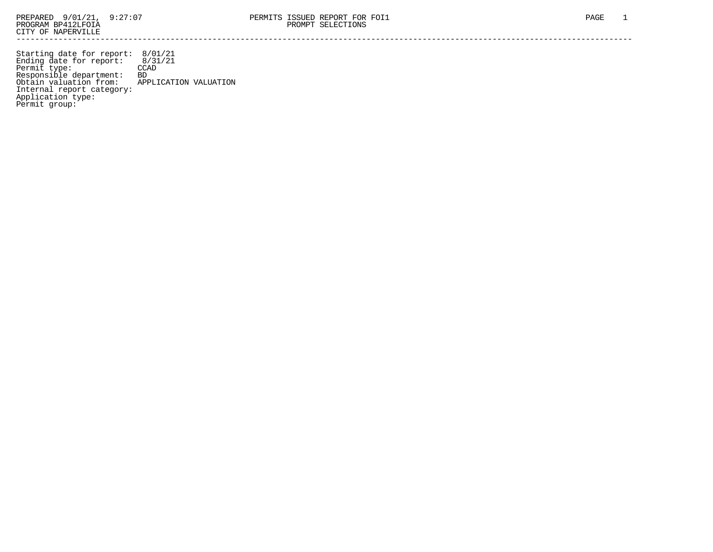Starting date for report: 8/01/21 Ending date for report: 8/31/21 Permit type: CCAD Responsible department: BD Obtain valuation from: APPLICATION VALUATION Internal report category: Application type: Permit group: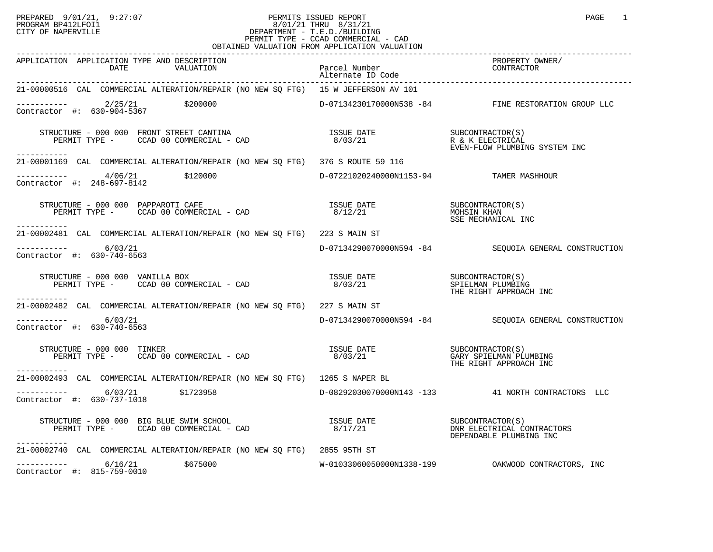## PREPARED 9/01/21, 9:27:07 PERMITS ISSUED REPORT PAGE 1 PROGRAM BP412LFOI1 8/01/21 THRU 8/31/21 CITY OF NAPERVILLE **Example 20** CITY OF NAPERVILLE PERMIT TYPE - CCAD COMMERCIAL - CAD OBTAINED VALUATION FROM APPLICATION VALUATION

| APPLICATION APPLICATION TYPE AND DESCRIPTION<br>DATE VALUATION                                                                                                                                                                                                                                                                  | Parcel Number<br>Alternate ID Code      | PROPERTY OWNER/<br>CONTRACTOR                                             |
|---------------------------------------------------------------------------------------------------------------------------------------------------------------------------------------------------------------------------------------------------------------------------------------------------------------------------------|-----------------------------------------|---------------------------------------------------------------------------|
| 21-00000516 CAL COMMERCIAL ALTERATION/REPAIR (NO NEW SQ FTG) 15 W JEFFERSON AV 101                                                                                                                                                                                                                                              |                                         |                                                                           |
| $\frac{2}{25/21}$ \$200000<br>Contractor #: 630-904-5367 \$200000<br>Contractor #: 630-904-5367                                                                                                                                                                                                                                 |                                         | D-07134230170000N538 -84 FINE RESTORATION GROUP LLC                       |
| $\begin{array}{cccc} \texttt{STRUCTURE} & - & 000 & 000 & \texttt{FRONT} & \texttt{STREF} & \texttt{CANTINA} \\ \texttt{PERMIT TYPE} & - & \texttt{CCAD} & 00 & \texttt{COMMERCIAL} & - & \texttt{CAD} \\ \texttt{PERMIT TYPE} & - & \texttt{CCAD} & 00 & \texttt{COMMERCIAL} & - & \texttt{CAD} \\ \end{array}$<br>----------- |                                         |                                                                           |
| 21-00001169 CAL COMMERCIAL ALTERATION/REPAIR (NO NEW SQ FTG) 376 S ROUTE 59 116                                                                                                                                                                                                                                                 |                                         |                                                                           |
| $\begin{array}{cccc}\n-2 & -2 & -2 & -2 & -1 \\ \text{Contractor} & +2 & 248-697-8142 & & 2120000\n\end{array}$                                                                                                                                                                                                                 | D-07221020240000N1153-94 TAMER MASHHOUR |                                                                           |
| STRUCTURE - 000 000 PAPPAROTI CAFE<br>PERMIT TYPE - CCAD 00 COMMERCIAL - CAD<br>-----------                                                                                                                                                                                                                                     | <b>ISSUE DATE</b><br>8/12/21            | SUBCONTRACTOR(S)<br>MOHSIN KHAN<br>SSE MECHANICAL INC                     |
| 21-00002481 CAL COMMERCIAL ALTERATION/REPAIR (NO NEW SQ FTG) 223 S MAIN ST                                                                                                                                                                                                                                                      |                                         |                                                                           |
| $--------- 6/03/21$<br>Contractor #: 630-740-6563                                                                                                                                                                                                                                                                               |                                         | D-07134290070000N594 -84 SEQUOIA GENERAL CONSTRUCTION                     |
| $\begin{array}{cccccc} \texttt{STRUCTURE} & - & 000 & 000 & \texttt{VANILLA BOX} & & & & & \\ \texttt{PERMIT TYPE} & - & \texttt{CCAD} & 00 & \texttt{COMMERCIAL} & - & \texttt{CAD} & & & \\ \texttt{PERMIT TYPE} & - & \texttt{CCAD} & 00 & \texttt{COMMERCIAL} & - & \texttt{CAD} & & & \\ \end{array}$<br>------------      |                                         | THE RIGHT APPROACH INC                                                    |
| 21-00002482 CAL COMMERCIAL ALTERATION/REPAIR (NO NEW SQ FTG) 227 S MAIN ST                                                                                                                                                                                                                                                      |                                         |                                                                           |
| $--------$ 6/03/21<br>Contractor #: 630-740-6563                                                                                                                                                                                                                                                                                |                                         | D-07134290070000N594 -84 SEQUOIA GENERAL CONSTRUCTION                     |
| STRUCTURE - 000 000 TINKER<br>PERMIT TYPE - CCAD 00 COMMERCIAL - CAD                             8/03/21<br>THE RIGHT APPROACH INC<br>STRUCTURE - 000 000 TINKER<br>-----------                                                                                                                                                 |                                         | THE RIGHT APPROACH INC                                                    |
| 21-00002493 CAL COMMERCIAL ALTERATION/REPAIR (NO NEW SO FTG) 1265 S NAPER BL                                                                                                                                                                                                                                                    |                                         |                                                                           |
| $---------$ 6/03/21 \$1723958<br>Contractor #: 630-737-1018                                                                                                                                                                                                                                                                     |                                         | D-08292030070000N143 -133 41 NORTH CONTRACTORS LLC                        |
| -----------                                                                                                                                                                                                                                                                                                                     |                                         | SUBCONTRACTOR(S)<br>DNR ELECTRICAL CONTRACTORS<br>DEPENDABLE PLUMBING INC |
| 21-00002740 CAL COMMERCIAL ALTERATION/REPAIR (NO NEW SQ FTG) 2855 95TH ST                                                                                                                                                                                                                                                       |                                         |                                                                           |
| $---------$ 6/16/21 \$675000<br>Contractor #: 815-759-0010                                                                                                                                                                                                                                                                      |                                         |                                                                           |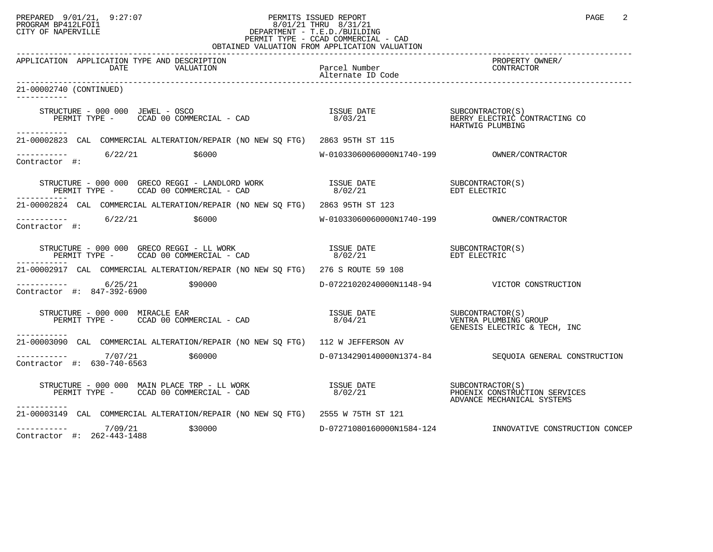## PREPARED 9/01/21, 9:27:07 PERMITS ISSUED REPORT PAGE 2 PROGRAM BP412LFOI1 8/01/21 THRU 8/31/21 CITY OF NAPERVILLE **Example 20** CITY OF NAPERVILLE PERMIT TYPE - CCAD COMMERCIAL - CAD OBTAINED VALUATION FROM APPLICATION VALUATION

| APPLICATION APPLICATION TYPE AND DESCRIPTION<br>DATE<br>VALUATION                                                                                                                                    | Parcel Number               | PROPERTY OWNER/<br>CONTRACTOR                               |
|------------------------------------------------------------------------------------------------------------------------------------------------------------------------------------------------------|-----------------------------|-------------------------------------------------------------|
| 21-00002740 (CONTINUED)                                                                                                                                                                              |                             |                                                             |
| STRUCTURE - 000 000 JEWEL - OSCO<br>TRUCTURE – 000 000 JEWEL – OSCO<br>PERMIT TYPE – CCAD 00 COMMERCIAL – CAD                       8/03/21                         BERRY ELECTRIC CONTRACTING CO    |                             | HARTWIG PLUMBING                                            |
| ------------<br>21-00002823 CAL COMMERCIAL ALTERATION/REPAIR (NO NEW SQ FTG) 2863 95TH ST 115                                                                                                        |                             |                                                             |
| $\begin{array}{ccc}\n - & - & - & - - - \\  \text{Contractor} & + & \end{array}$ 6/22/21 \$6000                                                                                                      |                             |                                                             |
| -----------                                                                                                                                                                                          |                             |                                                             |
| 21-00002824 CAL COMMERCIAL ALTERATION/REPAIR (NO NEW SO FTG) 2863 95TH ST 123                                                                                                                        |                             |                                                             |
| $--------- 6/22/21$<br>\$6000<br>Contractor #:                                                                                                                                                       |                             |                                                             |
| ------------                                                                                                                                                                                         |                             |                                                             |
| 21-00002917 CAL COMMERCIAL ALTERATION/REPAIR (NO NEW SQ FTG) 276 S ROUTE 59 108                                                                                                                      |                             |                                                             |
| $--------- 6/25/21$ \$90000<br>Contractor #: 847-392-6900                                                                                                                                            |                             | D-07221020240000N1148-94 VICTOR CONSTRUCTION                |
| STRUCTURE – 000 000 MIRACLE EAR<br>PERMIT TYPE – CCAD 00 COMMERCIAL – CAD 6 (20 MIRACLE FAR 15SUE DATE )<br>PERMIT TYPE – CCAD 00 COMMERCIAL – CAD 6 (3/04/21 6ENESIS ELECTRIC & TECI<br>----------- |                             | GENESIS ELECTRIC & TECH, INC                                |
| 21-00003090 CAL COMMERCIAL ALTERATION/REPAIR (NO NEW SQ FTG) 112 W JEFFERSON AV                                                                                                                      |                             |                                                             |
| $--------- 7/07/21$<br>\$60000<br>Contractor #: 630-740-6563                                                                                                                                         |                             | D-07134290140000N1374-84 SEQUOIA GENERAL CONSTRUCTION       |
| -----------                                                                                                                                                                                          |                             | PHOENIX CONSTRUCTION SERVICES<br>ADVANCE MECHANICAL SYSTEMS |
| 21-00003149 CAL COMMERCIAL ALTERATION/REPAIR (NO NEW SQ FTG) 2555 W 75TH ST 121                                                                                                                      |                             |                                                             |
| $--------- 7/09/21$<br>\$30000<br>Contractor #: 262-443-1488                                                                                                                                         | $D-07271080160000N1584-124$ | INNOVATIVE CONSTRUCTION CONCEP                              |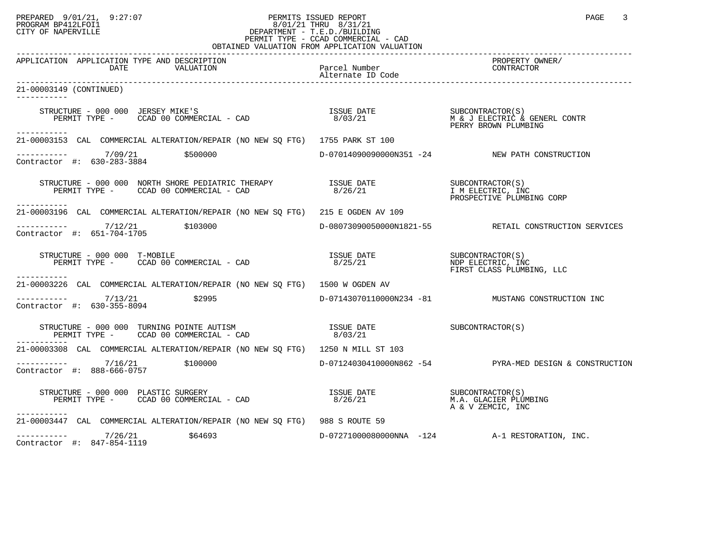## PREPARED 9/01/21, 9:27:07 PERMITS ISSUED REPORT PAGE 3 PROGRAM BP412LFOI1 8/01/21 THRU 8/31/21 CITY OF NAPERVILLE **Example 20** CITY OF NAPERVILLE PERMIT TYPE - CCAD COMMERCIAL - CAD OBTAINED VALUATION FROM APPLICATION VALUATION

| APPLICATION APPLICATION TYPE AND DESCRIPTION<br>VALUATION<br>DATE                                                                                                                                                                            | Parcel Number | PROPERTY OWNER/<br>CONTRACTOR                                      |
|----------------------------------------------------------------------------------------------------------------------------------------------------------------------------------------------------------------------------------------------|---------------|--------------------------------------------------------------------|
| 21-00003149 (CONTINUED)<br>-----------                                                                                                                                                                                                       |               |                                                                    |
| RUCTURE – 000 000 JERSEY MIKE'S<br>PERMIT TYPE – CCAD 00 COMMERCIAL – CAD                         8/03/21                   M & J ELECTRIC & GENERL CONTR<br>PERMIT TYPE –     CCAD 00 COMMERCIAL – CAD<br>STRUCTURE - 000 000 JERSEY MIKE'S |               | PERRY BROWN PLUMBING                                               |
| ------------<br>21-00003153 CAL COMMERCIAL ALTERATION/REPAIR (NO NEW SQ FTG) 1755 PARK ST 100                                                                                                                                                |               |                                                                    |
| ----------- 7/09/21 \$500000<br>Contractor #: 630-283-3884                                                                                                                                                                                   |               | D-07014090090000N351 -24 NEW PATH CONSTRUCTION                     |
| ------------                                                                                                                                                                                                                                 |               | SUBCONTRACTOR(S)<br>I M ELECTRIC, INC<br>PROSPECTIVE PLUMBING CORP |
| 21-00003196 CAL COMMERCIAL ALTERATION/REPAIR (NO NEW SQ FTG) 215 E OGDEN AV 109                                                                                                                                                              |               |                                                                    |
| $--------- 7/12/21$ \$103000<br>Contractor #: 651-704-1705                                                                                                                                                                                   |               | D-08073090050000N1821-55 RETAIL CONSTRUCTION SERVICES              |
| RUCTURE – 000 000 T-MOBILE<br>PERMIT TYPE – CCAD 00 COMMERCIAL – CAD                              8/25/21                                  NDP ELECTRIC, INC<br>STRUCTURE - 000 000 T-MOBILE                                                 |               | FIRST CLASS PLUMBING, LLC                                          |
| -----------<br>21-00003226 CAL COMMERCIAL ALTERATION/REPAIR (NO NEW SO FTG) 1500 W OGDEN AV                                                                                                                                                  |               |                                                                    |
| $--------- 7/13/21$ \$2995<br>Contractor #: 630-355-8094                                                                                                                                                                                     |               | D-07143070110000N234 -81 MUSTANG CONSTRUCTION INC                  |
|                                                                                                                                                                                                                                              |               |                                                                    |
| 21-00003308 CAL COMMERCIAL ALTERATION/REPAIR (NO NEW SO FTG) 1250 N MILL ST 103                                                                                                                                                              |               |                                                                    |
| $\frac{7}{16/21}$ \$100000 $\frac{7}{16}$<br>Contractor #: 888-666-0757                                                                                                                                                                      |               | D-07124030410000N862 -54 PYRA-MED DESIGN & CONSTRUCTION            |
| -----------                                                                                                                                                                                                                                  |               | M.A. GLACIER PLUMBING<br>A & V ZEMCIC, INC                         |
| 21-00003447 CAL COMMERCIAL ALTERATION/REPAIR (NO NEW SQ FTG) 988 S ROUTE 59                                                                                                                                                                  |               |                                                                    |
| $--------- 7/26/21$<br>\$64693<br>Contractor #: 847-854-1119                                                                                                                                                                                 |               | D-07271000080000NNA -124 A-1 RESTORATION, INC.                     |